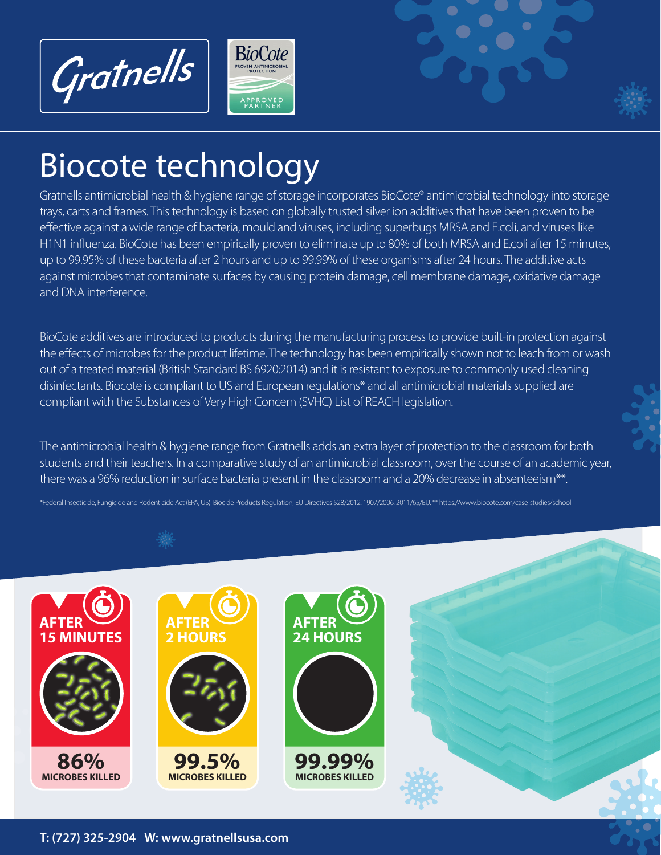



## Biocote technology

Gratnells antimicrobial health & hygiene range of storage incorporates BioCote® antimicrobial technology into storage trays, carts and frames. This technology is based on globally trusted silver ion additives that have been proven to be effective against a wide range of bacteria, mould and viruses, including superbugs MRSA and E.coli, and viruses like H1N1 influenza. BioCote has been empirically proven to eliminate up to 80% of both MRSA and E.coli after 15 minutes, up to 99.95% of these bacteria after 2 hours and up to 99.99% of these organisms after 24 hours. The additive acts against microbes that contaminate surfaces by causing protein damage, cell membrane damage, oxidative damage and DNA interference.

BioCote additives are introduced to products during the manufacturing process to provide built-in protection against the effects of microbes for the product lifetime. The technology has been empirically shown not to leach from or wash out of a treated material (British Standard BS 6920:2014) and it is resistant to exposure to commonly used cleaning disinfectants. Biocote is compliant to US and European regulations\* and all antimicrobial materials supplied are compliant with the Substances of Very High Concern (SVHC) List of REACH legislation.

The antimicrobial health & hygiene range from Gratnells adds an extra layer of protection to the classroom for both students and their teachers. In a comparative study of an antimicrobial classroom, over the course of an academic year, there was a 96% reduction in surface bacteria present in the classroom and a 20% decrease in absenteeism<sup>\*\*</sup>.

\*Federal Insecticide, Fungicide and Rodenticide Act (EPA, US). Biocide Products Regulation, EU Directives 528/2012, 1907/2006, 2011/65/EU. \*\* https://www.biocote.com/case-studies/school